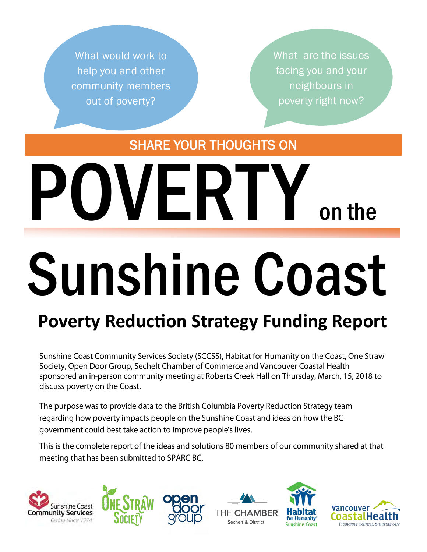What would work to help you and other community members out of poverty?

What are the issues facing you and your neighbours in poverty right now?

SHARE YOUR THOUGHTS ON

# VERIY on the

# Sunshine Coast

# **Poverty Reduction Strategy Funding Report**

Sunshine Coast Community Services Society (SCCSS), Habitat for Humanity on the Coast, One Straw Society, Open Door Group, Sechelt Chamber of Commerce and Vancouver Coastal Health sponsored an in-person community meeting at Roberts Creek Hall on Thursday, March, 15, 2018 to discuss poverty on the Coast.

The purpose was to provide data to the British Columbia Poverty Reduction Strategy team regarding how poverty impacts people on the Sunshine Coast and ideas on how the BC government could best take action to improve people's lives.

This is the complete report of the ideas and solutions 80 members of our community shared at that meeting that has been submitted to SPARC BC.







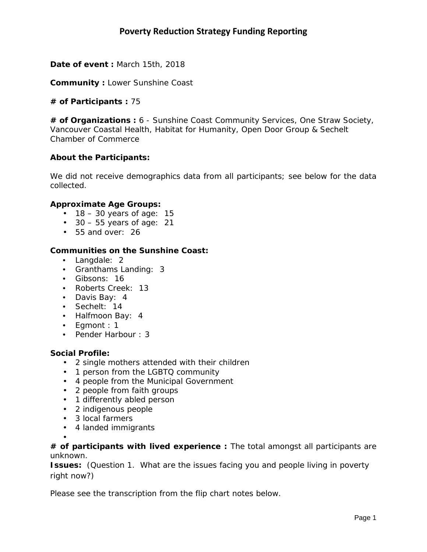**Date of event :** March 15th, 2018

**Community :** Lower Sunshine Coast

# **# of Participants :** 75

**# of Organizations :** 6 - Sunshine Coast Community Services, One Straw Society, Vancouver Coastal Health, Habitat for Humanity, Open Door Group & Sechelt Chamber of Commerce

# **About the Participants:**

We did not receive demographics data from all participants; see below for the data collected.

# *Approximate Age Groups:*

- $\cdot$  18 30 years of age: 15
- $\cdot$  30 55 years of age: 21
- 55 and over: 26

# *Communities on the Sunshine Coast:*

- Langdale: 2
- Granthams Landing: 3
- Gibsons: 16
- Roberts Creek: 13
- Davis Bay: 4
- Sechelt: 14
- Halfmoon Bay: 4
- Egmont : 1
- Pender Harbour : 3

# *Social Profile:*

- 2 single mothers attended with their children
- 1 person from the LGBTQ community
- 4 people from the Municipal Government
- 2 people from faith groups
- 1 differently abled person
- 2 indigenous people
- 3 local farmers
- 4 landed immigrants

• *# of participants with lived experience :* The total amongst all participants are unknown.

**Issues:** *(Question 1. What are the issues facing you and people living in poverty right now?)*

Please see the transcription from the flip chart notes below.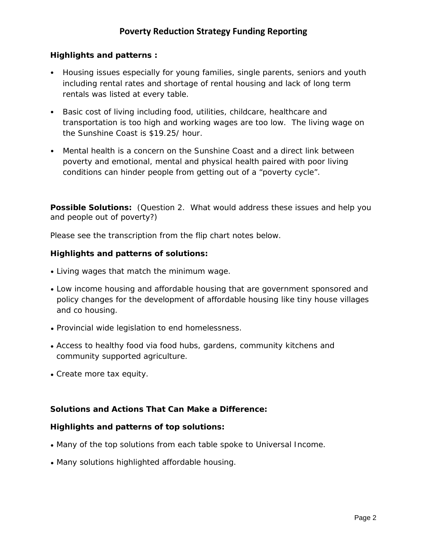# *Highlights and patterns :*

- Housing issues especially for young families, single parents, seniors and youth including rental rates and shortage of rental housing and lack of long term rentals was listed at every table.
- Basic cost of living including food, utilities, childcare, healthcare and transportation is too high and working wages are too low. The living wage on the Sunshine Coast is \$19.25/ hour.
- Mental health is a concern on the Sunshine Coast and a direct link between poverty and emotional, mental and physical health paired with poor living conditions can hinder people from getting out of a "poverty cycle".

**Possible Solutions:** *(Question 2. What would address these issues and help you and people out of poverty?)*

Please see the transcription from the flip chart notes below.

# *Highlights and patterns of solutions:*

- Living wages that match the minimum wage.
- Low income housing and affordable housing that are government sponsored and policy changes for the development of affordable housing like tiny house villages and co housing.
- Provincial wide legislation to end homelessness.
- Access to healthy food via food hubs, gardens, community kitchens and community supported agriculture.
- Create more tax equity.

# **Solutions and Actions That Can Make a Difference:**

# *Highlights and patterns of top solutions:*

- Many of the top solutions from each table spoke to Universal Income.
- Many solutions highlighted affordable housing.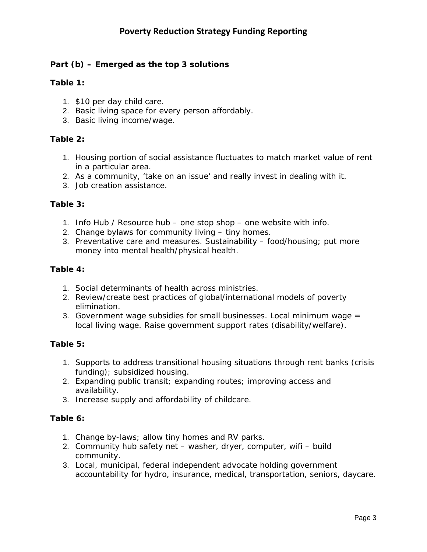# **Part (b)** *– Emerged as the top 3 solutions*

# *Table 1:*

- 1. \$10 per day child care.
- 2. Basic living space for every person affordably.
- 3. Basic living income/wage.

# *Table 2:*

- 1. Housing portion of social assistance fluctuates to match market value of rent in a particular area.
- 2. As a community, 'take on an issue' and really invest in dealing with it.
- 3. Job creation assistance.

# *Table 3:*

- 1. Info Hub / Resource hub one stop shop one website with info.
- 2. Change bylaws for community living tiny homes.
- 3. Preventative care and measures. Sustainability food/housing; put more money into mental health/physical health.

# *Table 4:*

- 1. Social determinants of health across ministries.
- 2. Review/create best practices of global/international models of poverty elimination.
- 3. Government wage subsidies for small businesses. Local minimum wage = local living wage. Raise government support rates (disability/welfare).

# **Table 5:**

- 1. Supports to address transitional housing situations through rent banks (crisis funding); subsidized housing.
- 2. Expanding public transit; expanding routes; improving access and availability.
- 3. Increase supply and affordability of childcare.

# **Table 6:**

- 1. Change by-laws; allow tiny homes and RV parks.
- 2. Community hub safety net washer, dryer, computer, wifi build community.
- 3. Local, municipal, federal independent advocate holding government accountability for hydro, insurance, medical, transportation, seniors, daycare.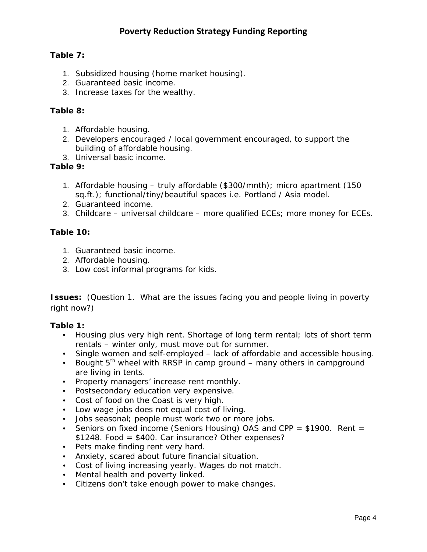# **Table 7:**

- 1. Subsidized housing (home market housing).
- 2. Guaranteed basic income.
- 3. Increase taxes for the wealthy.

# **Table 8:**

- 1. Affordable housing.
- 2. Developers encouraged / local government encouraged, to support the building of affordable housing.
- 3. Universal basic income.

# **Table 9:**

- 1. Affordable housing truly affordable (\$300/mnth); micro apartment (150 sq.ft.); functional/tiny/beautiful spaces i.e. Portland / Asia model.
- 2. Guaranteed income.
- 3. Childcare universal childcare more qualified ECEs; more money for ECEs.

# **Table 10:**

- 1. Guaranteed basic income.
- 2. Affordable housing.
- 3. Low cost informal programs for kids.

**Issues:** *(Question 1. What are the issues facing you and people living in poverty right now?)*

# *Table 1:*

- Housing plus very high rent. Shortage of long term rental; lots of short term rentals – winter only, must move out for summer.
- Single women and self-employed lack of affordable and accessible housing.
- Bought  $5<sup>th</sup>$  wheel with RRSP in camp ground many others in campground are living in tents.
- Property managers' increase rent monthly.
- Postsecondary education very expensive.
- Cost of food on the Coast is very high.
- Low wage jobs does not equal cost of living.
- Jobs seasonal; people must work two or more jobs.
- Seniors on fixed income (Seniors Housing) OAS and CPP  $=$  \$1900. Rent  $=$ \$1248. Food = \$400. Car insurance? Other expenses?
- Pets make finding rent very hard.
- Anxiety, scared about future financial situation.
- Cost of living increasing yearly. Wages do not match.
- Mental health and poverty linked.
- Citizens don't take enough power to make changes.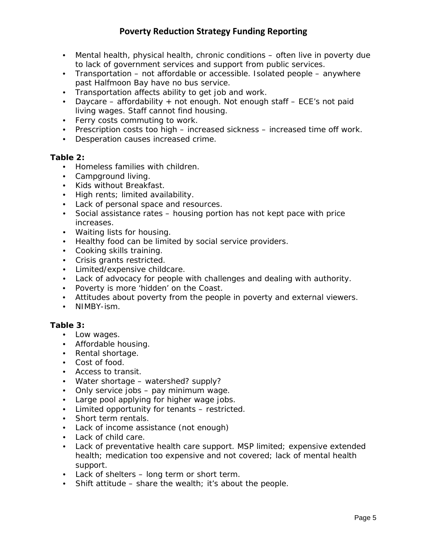- Mental health, physical health, chronic conditions often live in poverty due to lack of government services and support from public services.
- Transportation not affordable or accessible. Isolated people anywhere past Halfmoon Bay have no bus service.
- Transportation affects ability to get job and work.
- Daycare affordability + not enough. Not enough staff ECE's not paid living wages. Staff cannot find housing.
- Ferry costs commuting to work.
- Prescription costs too high increased sickness increased time off work.
- Desperation causes increased crime.

# *Table 2:*

- Homeless families with children.
- Campground living.
- Kids without Breakfast.
- High rents; limited availability.
- Lack of personal space and resources.
- Social assistance rates housing portion has not kept pace with price increases.
- Waiting lists for housing.
- Healthy food can be limited by social service providers.
- Cooking skills training.
- Crisis grants restricted.
- Limited/expensive childcare.
- Lack of advocacy for people with challenges and dealing with authority.
- Poverty is more 'hidden' on the Coast.
- Attitudes about poverty from the people in poverty and external viewers.
- NIMBY-ism.

# *Table 3:*

- Low wages.
- Affordable housing.
- Rental shortage.
- Cost of food.
- Access to transit.
- Water shortage watershed? supply?
- Only service jobs pay minimum wage.
- Large pool applying for higher wage jobs.
- Limited opportunity for tenants restricted.
- Short term rentals.
- Lack of income assistance (not enough)
- Lack of child care.
- Lack of preventative health care support. MSP limited; expensive extended health; medication too expensive and not covered; lack of mental health support.
- Lack of shelters long term or short term.
- Shift attitude share the wealth; it's about the people.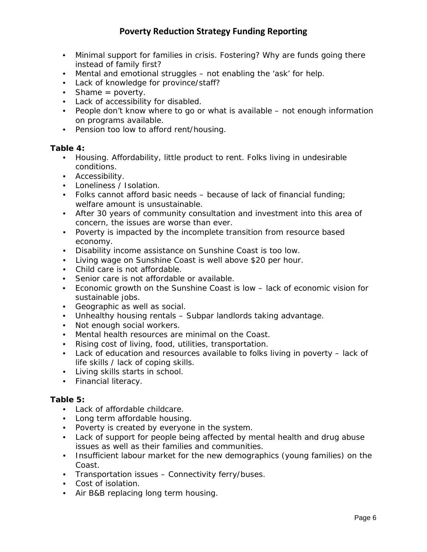- Minimal support for families in crisis. Fostering? Why are funds going there instead of family first?
- Mental and emotional struggles not enabling the 'ask' for help.
- Lack of knowledge for province/staff?
- Shame = poverty.
- Lack of accessibility for disabled.
- People don't know where to go or what is available not enough information on programs available.
- Pension too low to afford rent/housing.

# *Table 4:*

- Housing. Affordability, little product to rent. Folks living in undesirable conditions.
- Accessibility.
- Loneliness / Isolation.
- Folks cannot afford basic needs because of lack of financial funding; welfare amount is unsustainable.
- After 30 years of community consultation and investment into this area of concern, the issues are worse than ever.
- Poverty is impacted by the incomplete transition from resource based economy.
- Disability income assistance on Sunshine Coast is too low.
- Living wage on Sunshine Coast is well above \$20 per hour.
- Child care is not affordable.
- Senior care is not affordable or available.
- Economic growth on the Sunshine Coast is low lack of economic vision for sustainable jobs.
- Geographic as well as social.
- Unhealthy housing rentals Subpar landlords taking advantage.
- Not enough social workers.
- Mental health resources are minimal on the Coast.
- Rising cost of living, food, utilities, transportation.
- Lack of education and resources available to folks living in poverty lack of life skills / lack of coping skills.
- Living skills starts in school.
- Financial literacy.

# *Table 5:*

- Lack of affordable childcare.
- Long term affordable housing.
- Poverty is created by everyone in the system.
- Lack of support for people being affected by mental health and drug abuse issues as well as their families and communities.
- Insufficient labour market for the new demographics (young families) on the Coast.
- Transportation issues Connectivity ferry/buses.
- Cost of isolation.
- Air B&B replacing long term housing.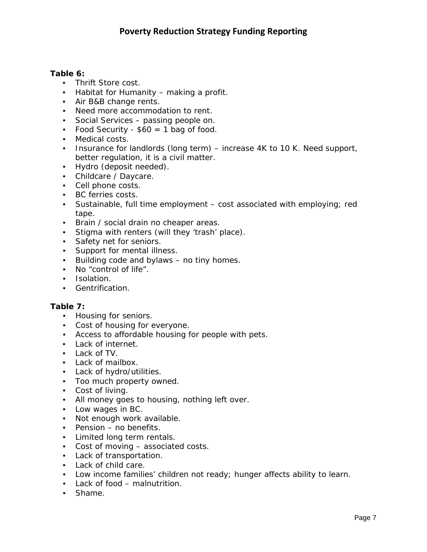# *Table 6:*

- Thrift Store cost.
- Habitat for Humanity making a profit.
- Air B&B change rents.
- Need more accommodation to rent.
- Social Services passing people on.
- Food Security  $$60 = 1$  bag of food.
- Medical costs.
- Insurance for landlords (long term) increase 4K to 10 K. Need support, better regulation, it is a civil matter.
- Hydro (deposit needed).
- Childcare / Daycare.
- Cell phone costs.
- BC ferries costs.
- Sustainable, full time employment cost associated with employing; red tape.
- Brain / social drain no cheaper areas.
- Stigma with renters (will they 'trash' place).
- Safety net for seniors.
- Support for mental illness.
- Building code and bylaws no tiny homes.
- No "control of life".
- Isolation.
- Gentrification.

# *Table 7:*

- Housing for seniors.
- Cost of housing for everyone.
- Access to affordable housing for people with pets.
- Lack of internet.
- Lack of TV.
- Lack of mailbox.
- Lack of hydro/utilities.
- Too much property owned.
- Cost of living.
- All money goes to housing, nothing left over.
- Low wages in BC.
- Not enough work available.
- Pension no benefits.
- Limited long term rentals.
- Cost of moving associated costs.
- Lack of transportation.
- Lack of child care.
- Low income families' children not ready; hunger affects ability to learn.
- Lack of food malnutrition.
- Shame.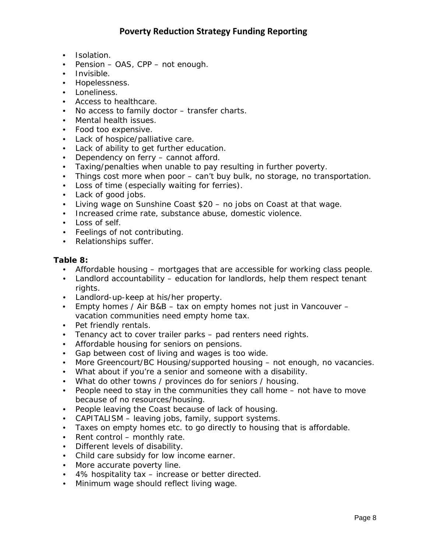- Isolation.
- Pension OAS, CPP not enough.
- Invisible.
- Hopelessness.
- Loneliness.
- Access to healthcare.
- No access to family doctor transfer charts.
- Mental health issues.
- Food too expensive.
- Lack of hospice/palliative care.
- Lack of ability to get further education.
- Dependency on ferry cannot afford.
- Taxing/penalties when unable to pay resulting in further poverty.
- Things cost more when poor can't buy bulk, no storage, no transportation.
- Loss of time (especially waiting for ferries).
- Lack of good jobs.
- Living wage on Sunshine Coast \$20 no jobs on Coast at that wage.
- Increased crime rate, substance abuse, domestic violence.
- Loss of self.
- Feelings of not contributing.
- Relationships suffer.

# *Table 8:*

- Affordable housing mortgages that are accessible for working class people.
- Landlord accountability education for landlords, help them respect tenant rights.
- Landlord-up-keep at his/her property.
- Empty homes / Air B&B tax on empty homes not just in Vancouver vacation communities need empty home tax.
- Pet friendly rentals.
- Tenancy act to cover trailer parks pad renters need rights.
- Affordable housing for seniors on pensions.
- Gap between cost of living and wages is too wide.
- More Greencourt/BC Housing/supported housing not enough, no vacancies.
- What about if you're a senior and someone with a disability.
- What do other towns / provinces do for seniors / housing.
- People need to stay in the communities they call home not have to move because of no resources/housing.
- People leaving the Coast because of lack of housing.
- CAPITALISM leaving jobs, family, support systems.
- Taxes on empty homes etc. to go directly to housing that is affordable.
- Rent control monthly rate.
- Different levels of disability.
- Child care subsidy for low income earner.
- More accurate poverty line.
- 4% hospitality tax increase or better directed.
- Minimum wage should reflect living wage.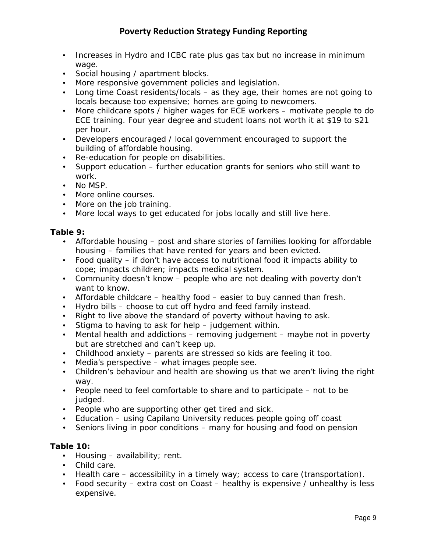- Increases in Hydro and ICBC rate plus gas tax but no increase in minimum wage.
- Social housing / apartment blocks.
- More responsive government policies and legislation.
- Long time Coast residents/locals as they age, their homes are not going to locals because too expensive; homes are going to newcomers.
- More childcare spots / higher wages for ECE workers motivate people to do ECE training. Four year degree and student loans not worth it at \$19 to \$21 per hour.
- Developers encouraged / local government encouraged to support the building of affordable housing.
- Re-education for people on disabilities.
- Support education further education grants for seniors who still want to work.
- No MSP.
- More online courses.
- More on the job training.
- More local ways to get educated for jobs locally and still live here.

# *Table 9:*

- Affordable housing post and share stories of families looking for affordable housing – families that have rented for years and been evicted.
- Food quality if don't have access to nutritional food it impacts ability to cope; impacts children; impacts medical system.
- Community doesn't know people who are not dealing with poverty don't want to know.
- Affordable childcare healthy food easier to buy canned than fresh.
- Hydro bills choose to cut off hydro and feed family instead.
- Right to live above the standard of poverty without having to ask.
- Stigma to having to ask for help judgement within.
- Mental health and addictions removing judgement maybe not in poverty but are stretched and can't keep up.
- Childhood anxiety parents are stressed so kids are feeling it too.
- Media's perspective what images people see.
- Children's behaviour and health are showing us that we aren't living the right way.
- People need to feel comfortable to share and to participate not to be judged.
- People who are supporting other get tired and sick.
- Education using Capilano University reduces people going off coast
- Seniors living in poor conditions many for housing and food on pension

# *Table 10:*

- Housing availability; rent.
- Child care.
- Health care accessibility in a timely way; access to care (transportation).
- Food security extra cost on Coast healthy is expensive / unhealthy is less expensive.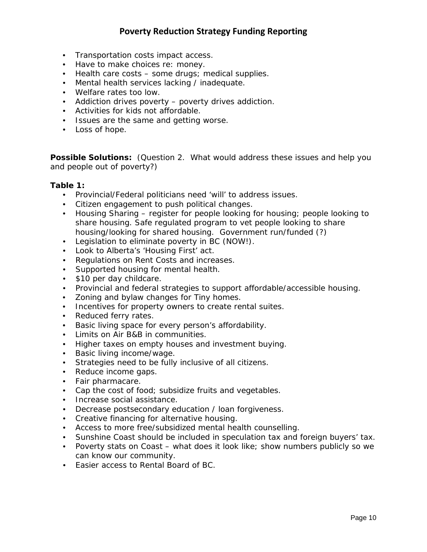- Transportation costs impact access.
- Have to make choices re: money.
- Health care costs some drugs; medical supplies.
- Mental health services lacking / inadequate.
- Welfare rates too low.
- Addiction drives poverty poverty drives addiction.
- Activities for kids not affordable.
- Issues are the same and getting worse.
- Loss of hope.

**Possible Solutions:** *(Question 2. What would address these issues and help you and people out of poverty?)*

#### *Table 1:*

- Provincial/Federal politicians need 'will' to address issues.
- Citizen engagement to push political changes.
- Housing Sharing register for people looking for housing; people looking to share housing. Safe regulated program to vet people looking to share housing/looking for shared housing. Government run/funded (?)
- Legislation to eliminate poverty in BC (NOW!).
- Look to Alberta's 'Housing First' act.
- Regulations on Rent Costs and increases.
- Supported housing for mental health.
- \$10 per day childcare.
- Provincial and federal strategies to support affordable/accessible housing.
- Zoning and bylaw changes for Tiny homes.
- Incentives for property owners to create rental suites.
- Reduced ferry rates.
- Basic living space for every person's affordability.
- Limits on Air B&B in communities.
- Higher taxes on empty houses and investment buying.
- Basic living income/wage.
- Strategies need to be fully inclusive of all citizens.
- Reduce income gaps.
- Fair pharmacare.
- Cap the cost of food; subsidize fruits and vegetables.
- Increase social assistance.
- Decrease postsecondary education / loan forgiveness.
- Creative financing for alternative housing.
- Access to more free/subsidized mental health counselling.
- Sunshine Coast should be included in speculation tax and foreign buyers' tax.
- Poverty stats on Coast what does it look like; show numbers publicly so we can know our community.
- Easier access to Rental Board of BC.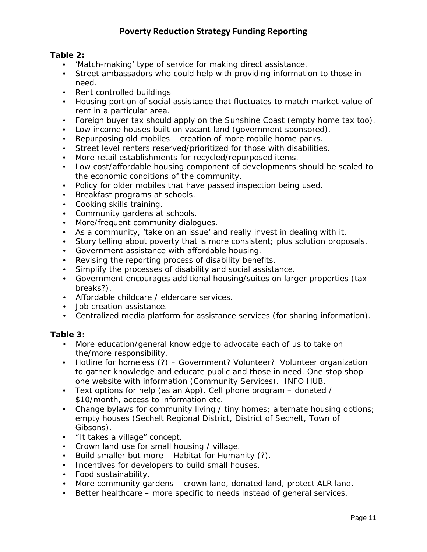# *Table 2:*

- 'Match-making' type of service for making direct assistance.
- Street ambassadors who could help with providing information to those in need.
- Rent controlled buildings
- Housing portion of social assistance that fluctuates to match market value of rent in a particular area.
- Foreign buyer tax should apply on the Sunshine Coast (empty home tax too).
- Low income houses built on vacant land (government sponsored).
- Repurposing old mobiles creation of more mobile home parks.
- Street level renters reserved/prioritized for those with disabilities.
- More retail establishments for recycled/repurposed items.
- Low cost/affordable housing component of developments should be scaled to the economic conditions of the community.
- Policy for older mobiles that have passed inspection being used.
- Breakfast programs at schools.
- Cooking skills training.
- Community gardens at schools.
- More/frequent community dialogues.
- As a community, 'take on an issue' and really invest in dealing with it.
- Story telling about poverty that is more consistent; plus solution proposals.
- Government assistance with affordable housing.
- Revising the reporting process of disability benefits.
- Simplify the processes of disability and social assistance.
- Government encourages additional housing/suites on larger properties (tax breaks?).
- Affordable childcare / eldercare services.
- Job creation assistance.
- Centralized media platform for assistance services (for sharing information).

# *Table 3:*

- More education/general knowledge to advocate each of us to take on the/more responsibility.
- Hotline for homeless (?) Government? Volunteer? Volunteer organization to gather knowledge and educate public and those in need. One stop shop – one website with information (Community Services). INFO HUB.
- Text options for help (as an App). Cell phone program donated / \$10/month, access to information etc.
- Change bylaws for community living / tiny homes; alternate housing options; empty houses (Sechelt Regional District, District of Sechelt, Town of Gibsons).
- "It takes a village" concept.
- Crown land use for small housing / village.
- Build smaller but more Habitat for Humanity (?).
- Incentives for developers to build small houses.
- Food sustainability.
- More community gardens crown land, donated land, protect ALR land.
- Better healthcare more specific to needs instead of general services.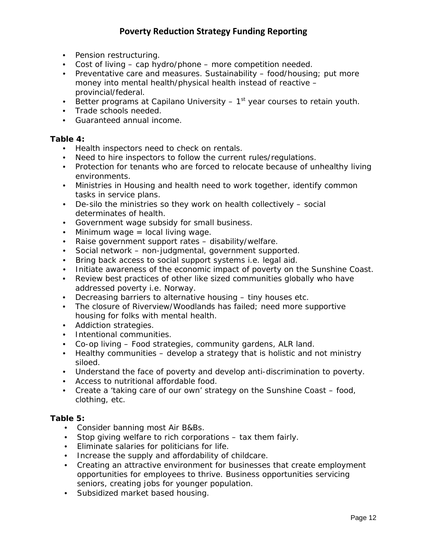- Pension restructuring.
- Cost of living cap hydro/phone more competition needed.
- Preventative care and measures. Sustainability food/housing; put more money into mental health/physical health instead of reactive – provincial/federal.
- Better programs at Capilano University  $-1<sup>st</sup>$  year courses to retain youth.
- Trade schools needed.
- Guaranteed annual income.

#### *Table 4:*

- Health inspectors need to check on rentals.
- Need to hire inspectors to follow the current rules/regulations.
- Protection for tenants who are forced to relocate because of unhealthy living environments.
- Ministries in Housing and health need to work together, identify common tasks in service plans.
- De-silo the ministries so they work on health collectively social determinates of health.
- Government wage subsidy for small business.
- Minimum wage = local living wage.
- Raise government support rates disability/welfare.
- Social network non-judgmental, government supported.
- Bring back access to social support systems i.e. legal aid.
- Initiate awareness of the economic impact of poverty on the Sunshine Coast.
- Review best practices of other like sized communities globally who have addressed poverty i.e. Norway.
- Decreasing barriers to alternative housing tiny houses etc.
- The closure of Riverview/Woodlands has failed; need more supportive housing for folks with mental health.
- Addiction strategies.
- Intentional communities.
- Co-op living Food strategies, community gardens, ALR land.
- Healthy communities develop a strategy that is holistic and not ministry siloed.
- Understand the face of poverty and develop anti-discrimination to poverty.
- Access to nutritional affordable food.
- Create a 'taking care of our own' strategy on the Sunshine Coast food, clothing, etc.

# *Table 5:*

- Consider banning most Air B&Bs.
- Stop giving welfare to rich corporations tax them fairly.
- Eliminate salaries for politicians for life.
- Increase the supply and affordability of childcare.
- Creating an attractive environment for businesses that create employment opportunities for employees to thrive. Business opportunities servicing seniors, creating jobs for younger population.
- Subsidized market based housing.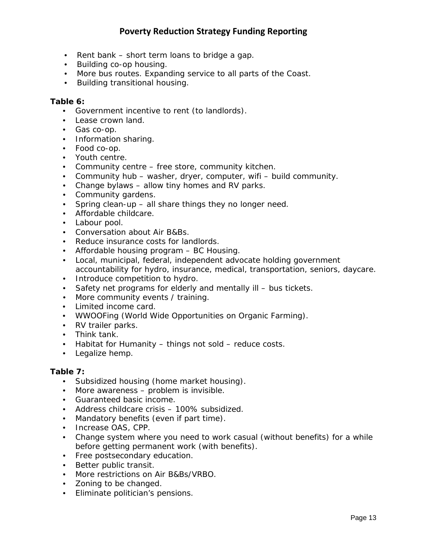- Rent bank short term loans to bridge a gap.
- Building co-op housing.
- More bus routes. Expanding service to all parts of the Coast.
- Building transitional housing.

#### *Table 6:*

- Government incentive to rent (to landlords).
- Lease crown land.
- Gas co-op.
- Information sharing.
- Food co-op.
- Youth centre.
- Community centre free store, community kitchen.
- Community hub washer, dryer, computer, wifi build community.
- Change bylaws allow tiny homes and RV parks.
- Community gardens.
- Spring clean-up all share things they no longer need.
- Affordable childcare.
- Labour pool.
- Conversation about Air B&Bs.
- Reduce insurance costs for landlords.
- Affordable housing program BC Housing.
- Local, municipal, federal, independent advocate holding government accountability for hydro, insurance, medical, transportation, seniors, daycare.
- Introduce competition to hydro.
- Safety net programs for elderly and mentally ill bus tickets.
- More community events / training.
- Limited income card.
- WWOOFing (World Wide Opportunities on Organic Farming).
- RV trailer parks.
- Think tank.
- Habitat for Humanity things not sold reduce costs.
- Legalize hemp.

#### *Table 7:*

- Subsidized housing (home market housing).
- More awareness problem is invisible.
- Guaranteed basic income.
- Address childcare crisis 100% subsidized.
- Mandatory benefits (even if part time).
- Increase OAS, CPP.
- Change system where you need to work casual (without benefits) for a while before getting permanent work (with benefits).
- Free postsecondary education.
- Better public transit.
- More restrictions on Air B&Bs/VRBO.
- Zoning to be changed.
- Eliminate politician's pensions.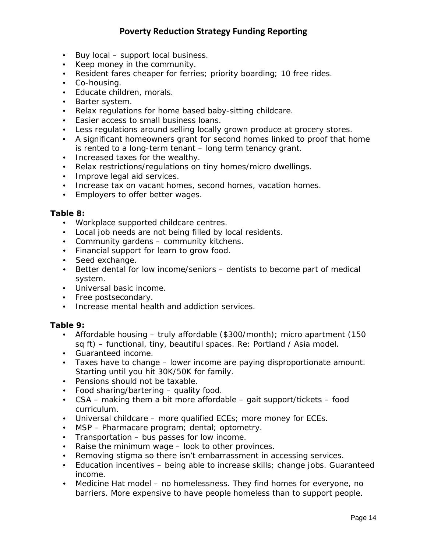- Buy local support local business.
- Keep money in the community.
- Resident fares cheaper for ferries; priority boarding; 10 free rides.
- Co-housing.
- Educate children, morals.
- Barter system.
- Relax regulations for home based baby-sitting childcare.
- Easier access to small business loans.
- Less regulations around selling locally grown produce at grocery stores.
- A significant homeowners grant for second homes linked to proof that home is rented to a long-term tenant – long term tenancy grant.
- Increased taxes for the wealthy.
- Relax restrictions/regulations on tiny homes/micro dwellings.
- Improve legal aid services.
- Increase tax on vacant homes, second homes, vacation homes.
- Employers to offer better wages.

# *Table 8:*

- Workplace supported childcare centres.
- Local job needs are not being filled by local residents.
- Community gardens community kitchens.
- Financial support for learn to grow food.
- Seed exchange.
- Better dental for low income/seniors dentists to become part of medical system.
- Universal basic income.
- Free postsecondary.
- Increase mental health and addiction services.

# *Table 9:*

- Affordable housing truly affordable (\$300/month); micro apartment (150 sq ft) – functional, tiny, beautiful spaces. Re: Portland / Asia model.
- Guaranteed income.
- Taxes have to change lower income are paying disproportionate amount. Starting until you hit 30K/50K for family.
- Pensions should not be taxable.
- Food sharing/bartering quality food.
- CSA making them a bit more affordable gait support/tickets food curriculum.
- Universal childcare more qualified ECEs; more money for ECEs.
- MSP Pharmacare program; dental; optometry.
- Transportation bus passes for low income.
- Raise the minimum wage look to other provinces.
- Removing stigma so there isn't embarrassment in accessing services.
- Education incentives being able to increase skills; change jobs. Guaranteed income.
- Medicine Hat model no homelessness. They find homes for everyone, no barriers. More expensive to have people homeless than to support people.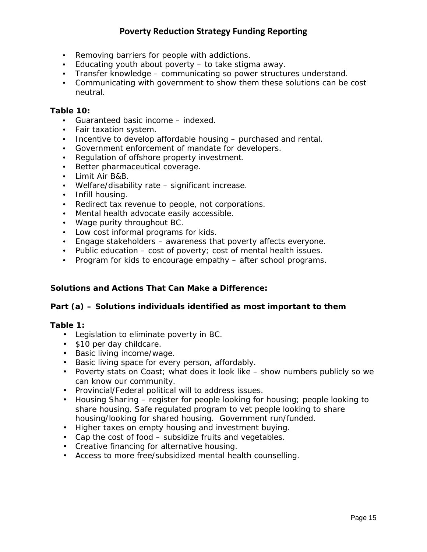- Removing barriers for people with addictions.
- Educating youth about poverty to take stigma away.
- Transfer knowledge communicating so power structures understand.
- Communicating with government to show them these solutions can be cost neutral.

# *Table 10:*

- Guaranteed basic income indexed.
- Fair taxation system.
- Incentive to develop affordable housing purchased and rental.
- Government enforcement of mandate for developers.
- Regulation of offshore property investment.
- Better pharmaceutical coverage.
- Limit Air B&B.
- Welfare/disability rate significant increase.
- Infill housing.
- Redirect tax revenue to people, not corporations.
- Mental health advocate easily accessible.
- Wage purity throughout BC.
- Low cost informal programs for kids.
- Engage stakeholders awareness that poverty affects everyone.
- Public education cost of poverty; cost of mental health issues.
- Program for kids to encourage empathy after school programs.

# **Solutions and Actions That Can Make a Difference:**

# **Part (a)** *– Solutions individuals identified as most important to them*

# *Table 1:*

- Legislation to eliminate poverty in BC.
- \$10 per day childcare.
- Basic living income/wage.
- Basic living space for every person, affordably.
- Poverty stats on Coast; what does it look like show numbers publicly so we can know our community.
- Provincial/Federal political will to address issues.
- Housing Sharing register for people looking for housing; people looking to share housing. Safe regulated program to vet people looking to share housing/looking for shared housing. Government run/funded.
- Higher taxes on empty housing and investment buying.
- Cap the cost of food subsidize fruits and vegetables.
- Creative financing for alternative housing.
- Access to more free/subsidized mental health counselling.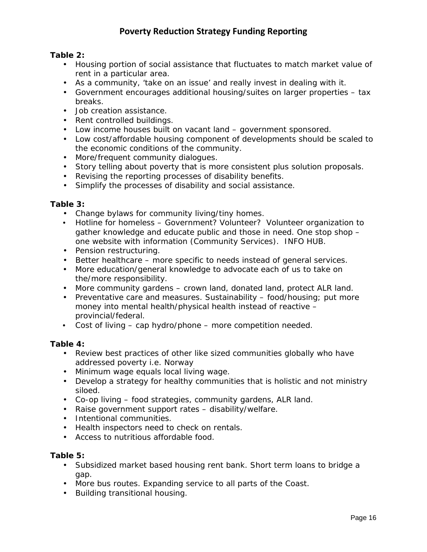# *Table 2:*

- Housing portion of social assistance that fluctuates to match market value of rent in a particular area.
- As a community, 'take on an issue' and really invest in dealing with it.
- Government encourages additional housing/suites on larger properties tax breaks.
- Job creation assistance.
- Rent controlled buildings.
- Low income houses built on vacant land government sponsored.
- Low cost/affordable housing component of developments should be scaled to the economic conditions of the community.
- More/frequent community dialogues.
- Story telling about poverty that is more consistent plus solution proposals.
- Revising the reporting processes of disability benefits.
- Simplify the processes of disability and social assistance.

# *Table 3:*

- Change bylaws for community living/tiny homes.
- Hotline for homeless Government? Volunteer? Volunteer organization to gather knowledge and educate public and those in need. One stop shop – one website with information (Community Services). INFO HUB.
- Pension restructuring.
- Better healthcare more specific to needs instead of general services.
- More education/general knowledge to advocate each of us to take on the/more responsibility.
- More community gardens crown land, donated land, protect ALR land.
- Preventative care and measures. Sustainability food/housing; put more money into mental health/physical health instead of reactive – provincial/federal.
- Cost of living cap hydro/phone more competition needed.

# *Table 4:*

- Review best practices of other like sized communities globally who have addressed poverty i.e. Norway
- Minimum wage equals local living wage.
- Develop a strategy for healthy communities that is holistic and not ministry siloed.
- Co-op living food strategies, community gardens, ALR land.
- Raise government support rates disability/welfare.
- Intentional communities.
- Health inspectors need to check on rentals.
- Access to nutritious affordable food.

# *Table 5:*

- Subsidized market based housing rent bank. Short term loans to bridge a gap.
- More bus routes. Expanding service to all parts of the Coast.
- Building transitional housing.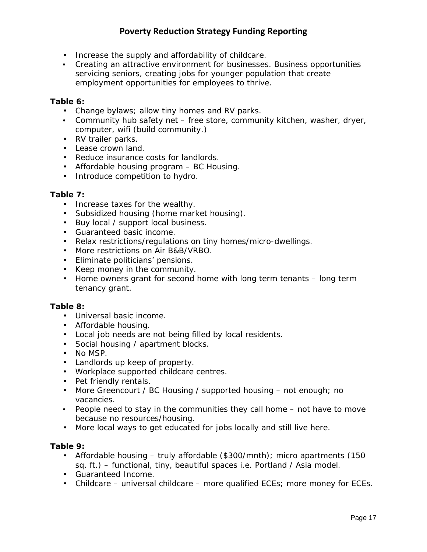- Increase the supply and affordability of childcare.
- Creating an attractive environment for businesses. Business opportunities servicing seniors, creating jobs for younger population that create employment opportunities for employees to thrive.

# *Table 6:*

- Change bylaws; allow tiny homes and RV parks.
- Community hub safety net free store, community kitchen, washer, dryer, computer, wifi (build community.)
- RV trailer parks.
- Lease crown land.
- Reduce insurance costs for landlords.
- Affordable housing program BC Housing.
- Introduce competition to hydro.

# *Table 7:*

- Increase taxes for the wealthy.
- Subsidized housing (home market housing).
- Buy local / support local business.
- Guaranteed basic income.
- Relax restrictions/regulations on tiny homes/micro-dwellings.
- More restrictions on Air B&B/VRBO.
- Eliminate politicians' pensions.
- Keep money in the community.
- Home owners grant for second home with long term tenants long term tenancy grant.

# *Table 8:*

- Universal basic income.
- Affordable housing.
- Local job needs are not being filled by local residents.
- Social housing / apartment blocks.
- No MSP.
- Landlords up keep of property.
- Workplace supported childcare centres.
- Pet friendly rentals.
- More Greencourt / BC Housing / supported housing not enough; no vacancies.
- People need to stay in the communities they call home not have to move because no resources/housing.
- More local ways to get educated for jobs locally and still live here.

# *Table 9:*

- Affordable housing truly affordable (\$300/mnth); micro apartments (150 sq. ft.) – functional, tiny, beautiful spaces i.e. Portland / Asia model.
- Guaranteed Income.
- Childcare universal childcare more qualified ECEs; more money for ECEs.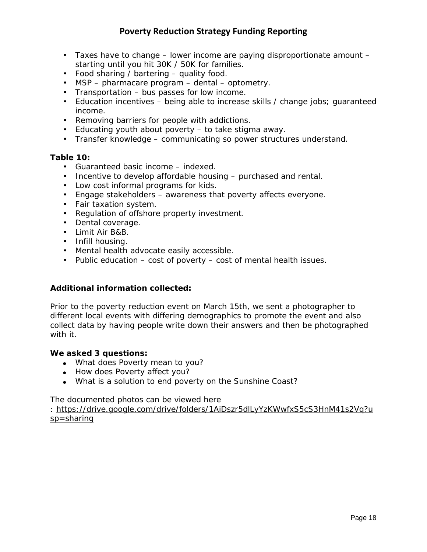- Taxes have to change lower income are paying disproportionate amount starting until you hit 30K / 50K for families.
- Food sharing / bartering quality food.
- MSP pharmacare program dental optometry.
- Transportation bus passes for low income.
- Education incentives being able to increase skills / change jobs; guaranteed income.
- Removing barriers for people with addictions.
- Educating youth about poverty to take stigma away.
- Transfer knowledge communicating so power structures understand.

# *Table 10:*

- Guaranteed basic income indexed.
- Incentive to develop affordable housing purchased and rental.
- Low cost informal programs for kids.
- Engage stakeholders awareness that poverty affects everyone.
- Fair taxation system.
- Regulation of offshore property investment.
- Dental coverage.
- Limit Air B&B.
- Infill housing.
- Mental health advocate easily accessible.
- Public education cost of poverty cost of mental health issues.

# **Additional information collected:**

Prior to the poverty reduction event on March 15th, we sent a photographer to different local events with differing demographics to promote the event and also collect data by having people write down their answers and then be photographed with it.

# *We asked 3 questions:*

- What does Poverty mean to you?
- How does Poverty affect you?
- What is a solution to end poverty on the Sunshine Coast?

The documented photos can be viewed here

: [https://drive.google.com/drive/folders/1AiDszr5dlLyYzKWwfxS5cS3HnM41s2Vq?u](https://drive.google.com/drive/folders/1AiDszr5dlLyYzKWwfxS5cS3HnM41s2Vq?usp=sharing) [sp=sharing](https://drive.google.com/drive/folders/1AiDszr5dlLyYzKWwfxS5cS3HnM41s2Vq?usp=sharing)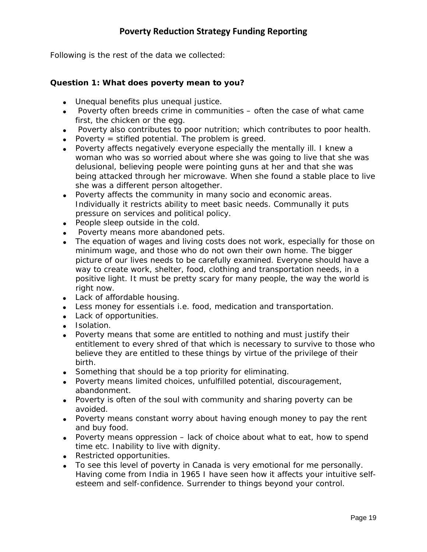Following is the rest of the data we collected:

# *Question 1: What does poverty mean to you?*

- Unequal benefits plus unequal justice.
- Poverty often breeds crime in communities often the case of what came first, the chicken or the egg.
- Poverty also contributes to poor nutrition; which contributes to poor health.
- Poverty  $=$  stifled potential. The problem is greed.
- Poverty affects negatively everyone especially the mentally ill. I knew a woman who was so worried about where she was going to live that she was delusional, believing people were pointing guns at her and that she was being attacked through her microwave. When she found a stable place to live she was a different person altogether.
- Poverty affects the community in many socio and economic areas. Individually it restricts ability to meet basic needs. Communally it puts pressure on services and political policy.
- People sleep outside in the cold.
- Poverty means more abandoned pets.
- The equation of wages and living costs does not work, especially for those on minimum wage, and those who do not own their own home. The bigger picture of our lives needs to be carefully examined. Everyone should have a way to create work, shelter, food, clothing and transportation needs, in a positive light. It must be pretty scary for many people, the way the world is right now.
- Lack of affordable housing.
- Less money for essentials i.e. food, medication and transportation.
- Lack of opportunities.
- Isolation.
- Poverty means that some are entitled to nothing and must justify their entitlement to every shred of that which is necessary to survive to those who believe they are entitled to these things by virtue of the privilege of their birth.
- Something that should be a top priority for eliminating.
- Poverty means limited choices, unfulfilled potential, discouragement, abandonment.
- Poverty is often of the soul with community and sharing poverty can be avoided.
- Poverty means constant worry about having enough money to pay the rent and buy food.
- Poverty means oppression lack of choice about what to eat, how to spend time etc. Inability to live with dignity.
- Restricted opportunities.
- To see this level of poverty in Canada is very emotional for me personally. Having come from India in 1965 I have seen how it affects your intuitive selfesteem and self-confidence. Surrender to things beyond your control.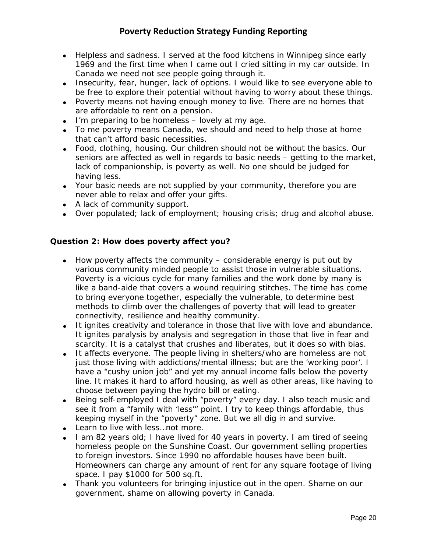- Helpless and sadness. I served at the food kitchens in Winnipeg since early 1969 and the first time when I came out I cried sitting in my car outside. In Canada we need not see people going through it.
- Insecurity, fear, hunger, lack of options. I would like to see everyone able to be free to explore their potential without having to worry about these things.
- Poverty means not having enough money to live. There are no homes that are affordable to rent on a pension.
- I'm preparing to be homeless lovely at my age.
- To me poverty means Canada, we should and need to help those at home that can't afford basic necessities.
- Food, clothing, housing. Our children should not be without the basics. Our seniors are affected as well in regards to basic needs – getting to the market, lack of companionship, is poverty as well. No one should be judged for having less.
- Your basic needs are not supplied by your community, therefore you are never able to relax and offer your gifts.
- A lack of community support.
- Over populated; lack of employment; housing crisis; drug and alcohol abuse.

# *Question 2: How does poverty affect you?*

- How poverty affects the community considerable energy is put out by various community minded people to assist those in vulnerable situations. Poverty is a vicious cycle for many families and the work done by many is like a band-aide that covers a wound requiring stitches. The time has come to bring everyone together, especially the vulnerable, to determine best methods to climb over the challenges of poverty that will lead to greater connectivity, resilience and healthy community.
- It ignites creativity and tolerance in those that live with love and abundance. It ignites paralysis by analysis and segregation in those that live in fear and scarcity. It is a catalyst that crushes and liberates, but it does so with bias.
- It affects everyone. The people living in shelters/who are homeless are not just those living with addictions/mental illness; but are the 'working poor'. I have a "cushy union job" and yet my annual income falls below the poverty line. It makes it hard to afford housing, as well as other areas, like having to choose between paying the hydro bill or eating.
- Being self-employed I deal with "poverty" every day. I also teach music and see it from a "family with 'less'" point. I try to keep things affordable, thus keeping myself in the "poverty" zone. But we all dig in and survive.
- Learn to live with less…not more.
- I am 82 years old; I have lived for 40 years in poverty. I am tired of seeing homeless people on the Sunshine Coast. Our government selling properties to foreign investors. Since 1990 no affordable houses have been built. Homeowners can charge any amount of rent for any square footage of living space. I pay \$1000 for 500 sq.ft.
- Thank you volunteers for bringing injustice out in the open. Shame on our government, shame on allowing poverty in Canada.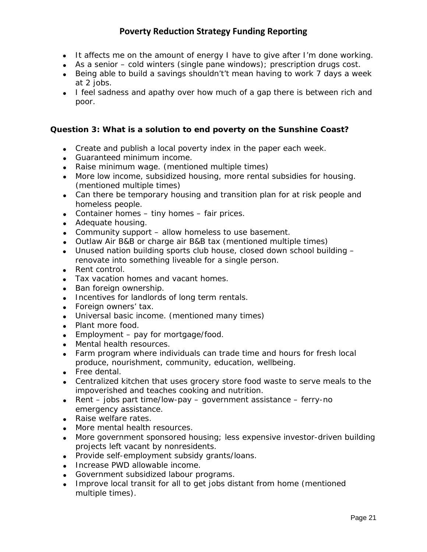- It affects me on the amount of energy I have to give after I'm done working.
- As a senior cold winters (single pane windows); prescription drugs cost.
- Being able to build a savings shouldn't't mean having to work 7 days a week at 2 jobs.
- I feel sadness and apathy over how much of a gap there is between rich and poor.

# *Question 3: What is a solution to end poverty on the Sunshine Coast?*

- Create and publish a local poverty index in the paper each week.
- Guaranteed minimum income.
- Raise minimum wage. (mentioned multiple times)
- More low income, subsidized housing, more rental subsidies for housing. (mentioned multiple times)
- Can there be temporary housing and transition plan for at risk people and homeless people.
- Container homes tiny homes fair prices.
- Adequate housing.
- Community support allow homeless to use basement.
- Outlaw Air B&B or charge air B&B tax (mentioned multiple times)
- Unused nation building sports club house, closed down school building renovate into something liveable for a single person.
- Rent control.
- Tax vacation homes and vacant homes.
- Ban foreign ownership.
- Incentives for landlords of long term rentals.
- Foreign owners' tax.
- Universal basic income. (mentioned many times)
- Plant more food.
- Employment pay for mortgage/food.
- Mental health resources.
- Farm program where individuals can trade time and hours for fresh local produce, nourishment, community, education, wellbeing.
- Free dental.
- Centralized kitchen that uses grocery store food waste to serve meals to the impoverished and teaches cooking and nutrition.
- Rent jobs part time/low-pay government assistance ferry-no emergency assistance.
- Raise welfare rates.
- More mental health resources.
- More government sponsored housing; less expensive investor-driven building projects left vacant by nonresidents.
- Provide self-employment subsidy grants/loans.
- Increase PWD allowable income.
- Government subsidized labour programs.
- Improve local transit for all to get jobs distant from home (mentioned multiple times).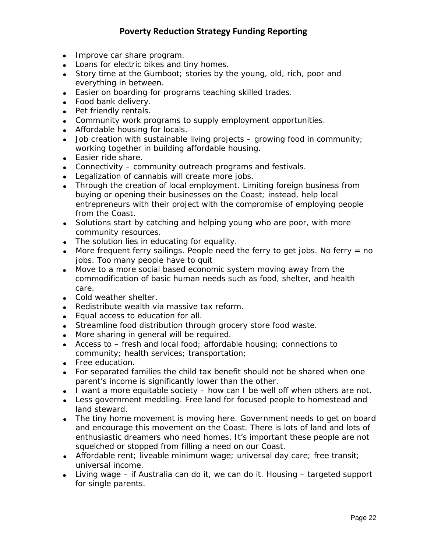- Improve car share program.
- Loans for electric bikes and tiny homes.
- Story time at the Gumboot; stories by the young, old, rich, poor and everything in between.
- Easier on boarding for programs teaching skilled trades.
- Food bank delivery.
- Pet friendly rentals.
- Community work programs to supply employment opportunities.
- Affordable housing for locals.
- $\bullet$  Job creation with sustainable living projects growing food in community; working together in building affordable housing.
- Easier ride share.
- Connectivity community outreach programs and festivals.
- Legalization of cannabis will create more jobs.
- Through the creation of local employment. Limiting foreign business from buying or opening their businesses on the Coast; instead, help local entrepreneurs with their project with the compromise of employing people from the Coast.
- Solutions start by catching and helping young who are poor, with more community resources.
- The solution lies in educating for equality.
- More frequent ferry sailings. People need the ferry to get jobs. No ferry  $=$  no jobs. Too many people have to quit
- Move to a more social based economic system moving away from the commodification of basic human needs such as food, shelter, and health care.
- Cold weather shelter.
- Redistribute wealth via massive tax reform.
- Equal access to education for all.
- Streamline food distribution through grocery store food waste.
- More sharing in general will be required.
- Access to fresh and local food; affordable housing; connections to community; health services; transportation;
- Free education.
- For separated families the child tax benefit should not be shared when one parent's income is significantly lower than the other.
- I want a more equitable society how can I be well off when others are not.
- Less government meddling. Free land for focused people to homestead and land steward.
- The tiny home movement is moving here. Government needs to get on board and encourage this movement on the Coast. There is lots of land and lots of enthusiastic dreamers who need homes. It's important these people are not squelched or stopped from filling a need on our Coast.
- Affordable rent; liveable minimum wage; universal day care; free transit; universal income.
- Living wage if Australia can do it, we can do it. Housing targeted support for single parents.